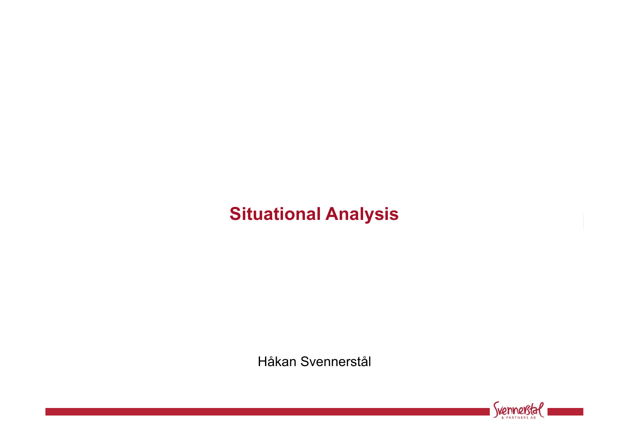# **Situational Analysis**

Håkan Svennerstål

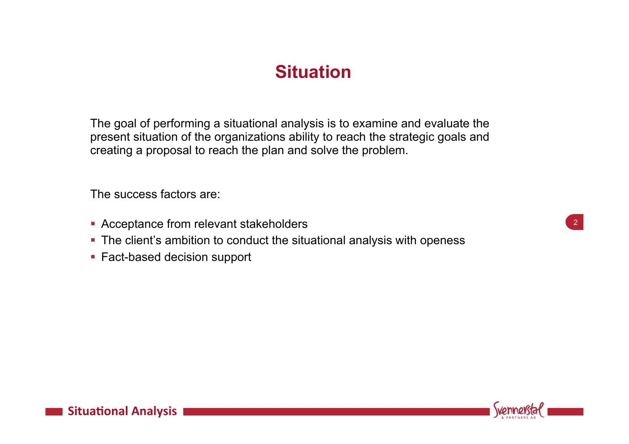## **Situation**

The goal of performing a situational analysis is to examine and evaluate the present situation of the organizations ability to reach the strategic goals and creating a proposal to reach the plan and solve the problem.

The success factors are:

- Acceptance from relevant stakeholders
- The client's ambition to conduct the situational analysis with openess
- Fact-based decision support





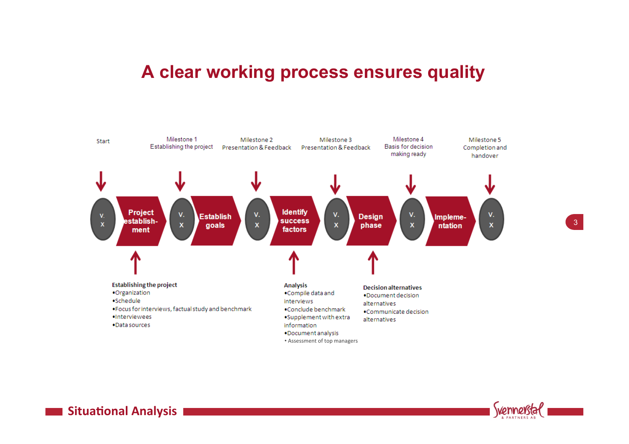#### **A clear working process ensures quality**





3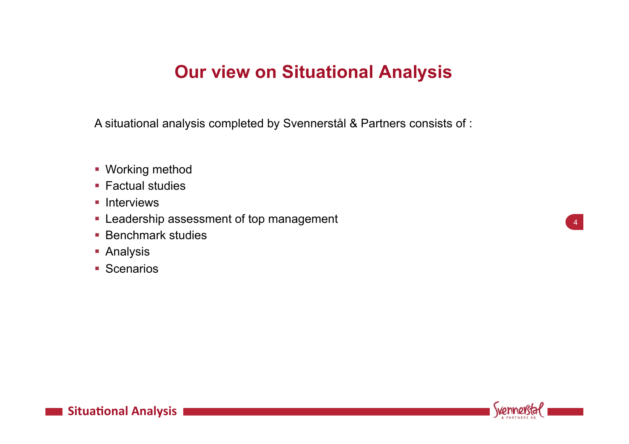### **Our view on Situational Analysis**

A situational analysis completed by Svennerstål & Partners consists of :

- § Working method
- Factual studies
- Interviews
- Leadership assessment of top management
- Benchmark studies
- Analysis
- Scenarios

4

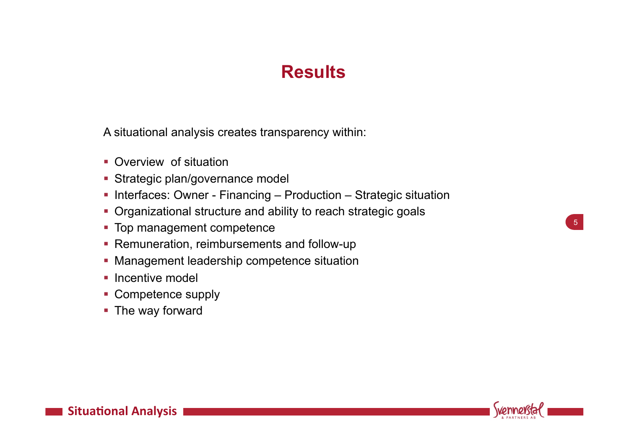## **Results**

A situational analysis creates transparency within:

- Overview of situation
- Strategic plan/governance model
- Interfaces: Owner Financing Production Strategic situation
- Organizational structure and ability to reach strategic goals
- Top management competence
- Remuneration, reimbursements and follow-up
- Management leadership competence situation
- **Incentive model**
- Competence supply
- The way forward



5